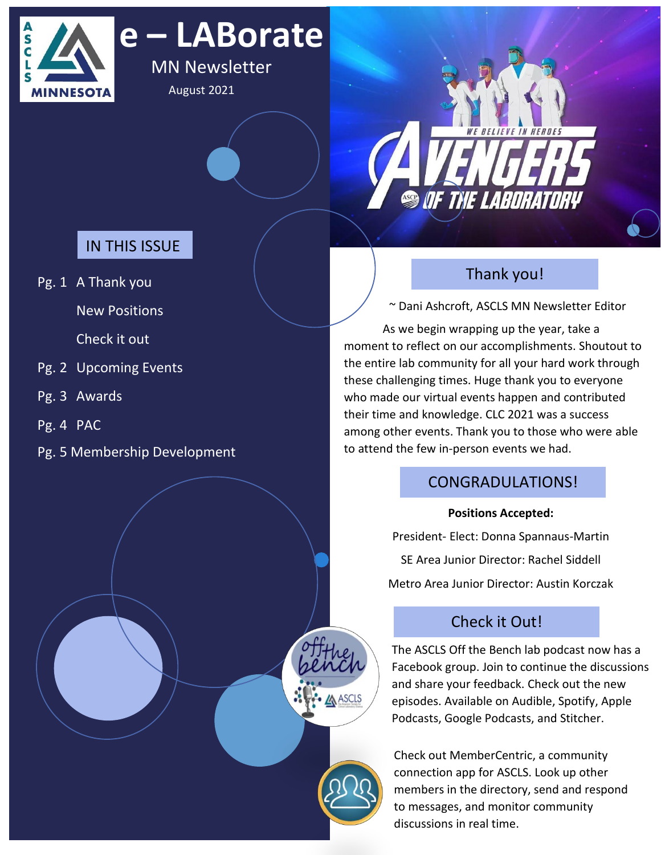

# **e – LABorate**

MN Newsletter August 2021



# IN THIS ISSUE

Pg. 1 A Thank you

New Positions

Check it out

- Pg. 2 Upcoming Events
- Pg. 3 Awards
- Pg. 4 PAC
- Pg. 5 Membership Development

# Thank you!

~ Dani Ashcroft, ASCLS MN Newsletter Editor

As we begin wrapping up the year, take a moment to reflect on our accomplishments. Shoutout to the entire lab community for all your hard work through these challenging times. Huge thank you to everyone who made our virtual events happen and contributed their time and knowledge. CLC 2021 was a success among other events. Thank you to those who were able to attend the few in-person events we had.

# CONGRADULATIONS!

## **Positions Accepted:**

President- Elect: Donna Spannaus-Martin SE Area Junior Director: Rachel Siddell Metro Area Junior Director: Austin Korczak

# Check it Out!

The ASCLS Off the Bench lab podcast now has a Facebook group. Join to continue the discussions and share your feedback. Check out the new episodes. Available on Audible, Spotify, Apple Podcasts, Google Podcasts, and Stitcher.

Check out MemberCentric, a community connection app for ASCLS. Look up other members in the directory, send and respond to messages, and monitor community discussions in real time.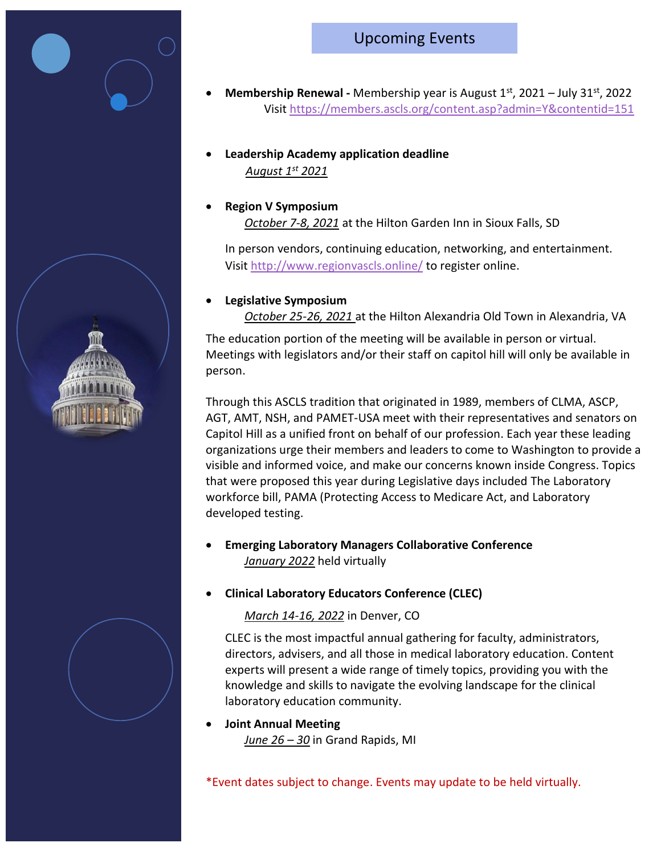# Upcoming Events

- **Membership Renewal -** Membership year is August 1st, 2021 July 31st, 2022 Visit<https://members.ascls.org/content.asp?admin=Y&contentid=151>
- **Leadership Academy application deadline** *August 1st 2021*
- **Region V Symposium**  *October 7-8, 2021* at the Hilton Garden Inn in Sioux Falls, SD

In person vendors, continuing education, networking, and entertainment. Visit<http://www.regionvascls.online/> to register online.

### • **Legislative Symposium**

*October 25-26, 2021* at the Hilton Alexandria Old Town in Alexandria, VA

The education portion of the meeting will be available in person or virtual. Meetings with legislators and/or their staff on capitol hill will only be available in person.

Through this ASCLS tradition that originated in 1989, members of CLMA, ASCP, AGT, AMT, NSH, and PAMET-USA meet with their representatives and senators on Capitol Hill as a unified front on behalf of our profession. Each year these leading organizations urge their members and leaders to come to Washington to provide a visible and informed voice, and make our concerns known inside Congress. Topics that were proposed this year during Legislative days included The Laboratory workforce bill, PAMA (Protecting Access to Medicare Act, and Laboratory developed testing.

- **Emerging Laboratory Managers Collaborative Conference**  *January 2022* held virtually
- **Clinical Laboratory Educators Conference (CLEC)**

### *March 14-16, 2022* in Denver, CO

CLEC is the most impactful annual gathering for faculty, administrators, directors, advisers, and all those in medical laboratory education. Content experts will present a wide range of timely topics, providing you with the knowledge and skills to navigate the evolving landscape for the clinical laboratory education community.

### • **Joint Annual Meeting**

*June 26 – 30* in Grand Rapids, MI

\*Event dates subject to change. Events may update to be held virtually.



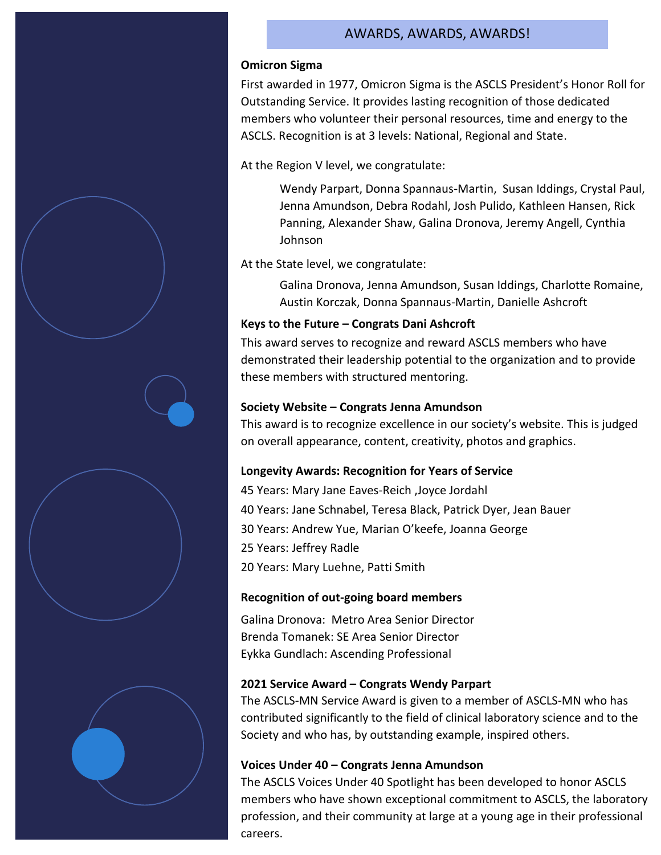### AWARDS, AWARDS, AWARDS!

#### **Omicron Sigma**

First awarded in 1977, Omicron Sigma is the ASCLS President's Honor Roll for Outstanding Service. It provides lasting recognition of those dedicated members who volunteer their personal resources, time and energy to the ASCLS. Recognition is at 3 levels: National, Regional and State.

At the Region V level, we congratulate:

Wendy Parpart, Donna Spannaus-Martin, Susan Iddings, Crystal Paul, Jenna Amundson, Debra Rodahl, Josh Pulido, Kathleen Hansen, Rick Panning, Alexander Shaw, Galina Dronova, Jeremy Angell, Cynthia Johnson

At the State level, we congratulate:

Galina Dronova, Jenna Amundson, Susan Iddings, Charlotte Romaine, Austin Korczak, Donna Spannaus-Martin, Danielle Ashcroft

#### **Keys to the Future – Congrats Dani Ashcroft**

This award serves to recognize and reward ASCLS members who have demonstrated their leadership potential to the organization and to provide these members with structured mentoring.

#### **Society Website – Congrats Jenna Amundson**

This award is to recognize excellence in our society's website. This is judged on overall appearance, content, creativity, photos and graphics.

#### **Longevity Awards: Recognition for Years of Service**

45 Years: Mary Jane Eaves-Reich ,Joyce Jordahl 40 Years: Jane Schnabel, Teresa Black, Patrick Dyer, Jean Bauer 30 Years: Andrew Yue, Marian O'keefe, Joanna George 25 Years: Jeffrey Radle 20 Years: Mary Luehne, Patti Smith

#### **Recognition of out-going board members**

Galina Dronova: Metro Area Senior Director Brenda Tomanek: SE Area Senior Director Eykka Gundlach: Ascending Professional

#### **2021 Service Award – Congrats Wendy Parpart**

The ASCLS-MN Service Award is given to a member of ASCLS-MN who has contributed significantly to the field of clinical laboratory science and to the Society and who has, by outstanding example, inspired others.

#### **Voices Under 40 – Congrats Jenna Amundson**

The ASCLS Voices Under 40 Spotlight has been developed to honor ASCLS members who have shown exceptional commitment to ASCLS, the laboratory profession, and their community at large at a young age in their professional careers.

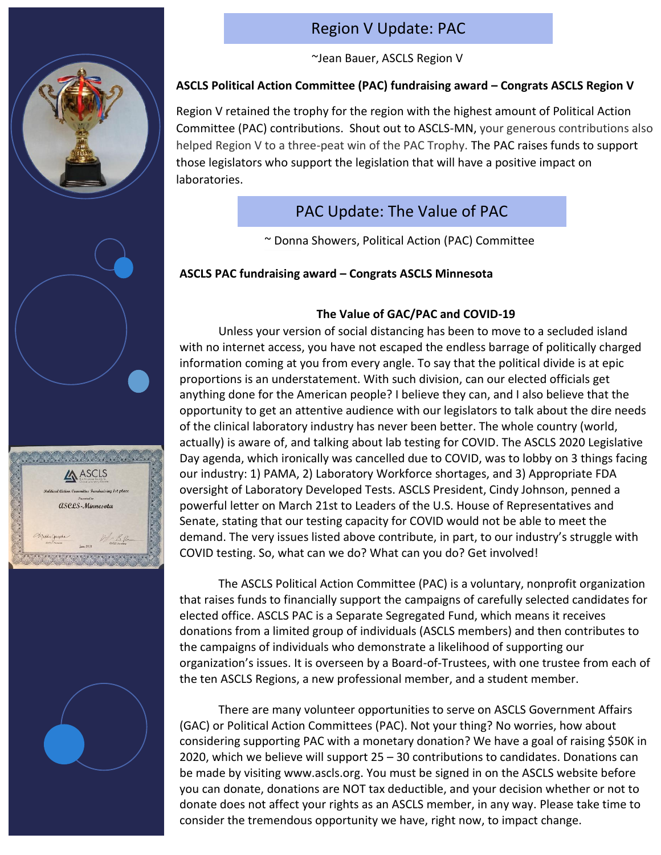



# Region V Update: PAC

~Jean Bauer, ASCLS Region V

#### **ASCLS Political Action Committee (PAC) fundraising award – Congrats ASCLS Region V** Director

Region V retained the trophy for the region with the highest amount of Political Action Committee (PAC) contributions. Shout out to ASCLS-MN, your generous contributions also helped Region V to a three-peat win of the PAC Trophy. The PAC raises funds to support those legislators who support the legislation that will have a positive impact on laboratories.

# PAC Update: The Value of PAC

~ Donna Showers, Political Action (PAC) Committee

### **ASCLS PAC fundraising award – Congrats ASCLS Minnesota**

### **The Value of GAC/PAC and COVID-19**

Unless your version of social distancing has been to move to a secluded island with no internet access, you have not escaped the endless barrage of politically charged information coming at you from every angle. To say that the political divide is at epic proportions is an understatement. With such division, can our elected officials get anything done for the American people? I believe they can, and I also believe that the opportunity to get an attentive audience with our legislators to talk about the dire needs of the clinical laboratory industry has never been better. The whole country (world, actually) is aware of, and talking about lab testing for COVID. The ASCLS 2020 Legislative Day agenda, which ironically was cancelled due to COVID, was to lobby on 3 things facing our industry: 1) PAMA, 2) Laboratory Workforce shortages, and 3) Appropriate FDA oversight of Laboratory Developed Tests. ASCLS President, Cindy Johnson, penned a powerful letter on March 21st to Leaders of the U.S. House of Representatives and Senate, stating that our testing capacity for COVID would not be able to meet the demand. The very issues listed above contribute, in part, to our industry's struggle with COVID testing. So, what can we do? What can you do? Get involved!

The ASCLS Political Action Committee (PAC) is a voluntary, nonprofit organization that raises funds to financially support the campaigns of carefully selected candidates for elected office. ASCLS PAC is a Separate Segregated Fund, which means it receives donations from a limited group of individuals (ASCLS members) and then contributes to the campaigns of individuals who demonstrate a likelihood of supporting our organization's issues. It is overseen by a Board-of-Trustees, with one trustee from each of the ten ASCLS Regions, a new professional member, and a student member.

There are many volunteer opportunities to serve on ASCLS Government Affairs (GAC) or Political Action Committees (PAC). Not your thing? No worries, how about considering supporting PAC with a monetary donation? We have a goal of raising \$50K in 2020, which we believe will support 25 – 30 contributions to candidates. Donations can be made by visiting www.ascls.org. You must be signed in on the ASCLS website before you can donate, donations are NOT tax deductible, and your decision whether or not to donate does not affect your rights as an ASCLS member, in any way. Please take time to consider the tremendous opportunity we have, right now, to impact change.